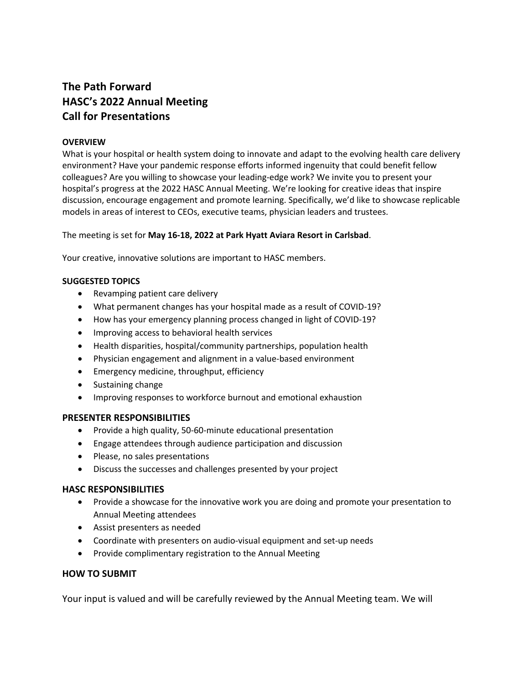# **The Path Forward HASC's 2022 Annual Meeting Call for Presentations**

## **OVERVIEW**

What is your hospital or health system doing to innovate and adapt to the evolving health care delivery environment? Have your pandemic response efforts informed ingenuity that could benefit fellow colleagues? Are you willing to showcase your leading-edge work? We invite you to present your hospital's progress at the 2022 HASC Annual Meeting. We're looking for creative ideas that inspire discussion, encourage engagement and promote learning. Specifically, we'd like to showcase replicable models in areas of interest to CEOs, executive teams, physician leaders and trustees.

The meeting is set for **May 16-18, 2022 at Park Hyatt Aviara Resort in Carlsbad**.

Your creative, innovative solutions are important to HASC members.

#### **SUGGESTED TOPICS**

- Revamping patient care delivery
- What permanent changes has your hospital made as a result of COVID-19?
- How has your emergency planning process changed in light of COVID-19?
- Improving access to behavioral health services
- Health disparities, hospital/community partnerships, population health
- Physician engagement and alignment in a value-based environment
- Emergency medicine, throughput, efficiency
- Sustaining change
- Improving responses to workforce burnout and emotional exhaustion

### **PRESENTER RESPONSIBILITIES**

- Provide a high quality, 50-60-minute educational presentation
- Engage attendees through audience participation and discussion
- Please, no sales presentations
- Discuss the successes and challenges presented by your project

### **HASC RESPONSIBILITIES**

- Provide a showcase for the innovative work you are doing and promote your presentation to Annual Meeting attendees
- Assist presenters as needed
- Coordinate with presenters on audio-visual equipment and set-up needs
- Provide complimentary registration to the Annual Meeting

### **HOW TO SUBMIT**

Your input is valued and will be carefully reviewed by the Annual Meeting team. We will